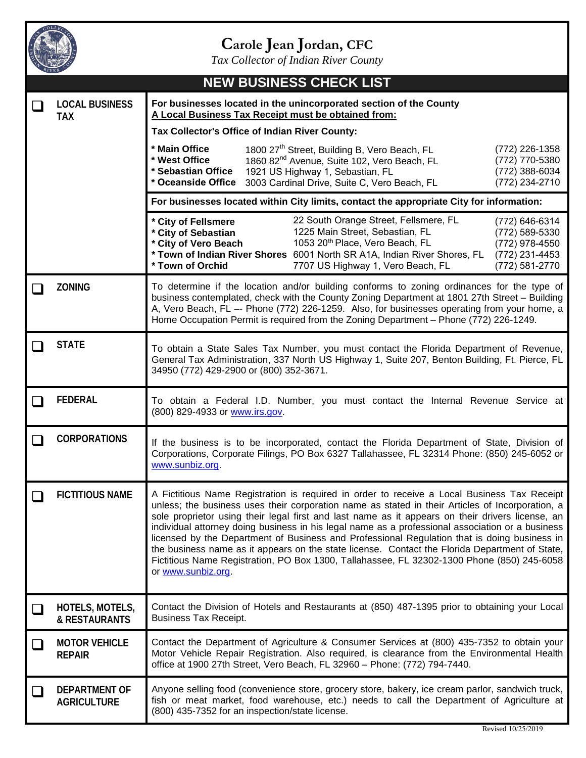

## **Carole Jean Jordan, CFC**

*Tax Collector of Indian River County*

|                             |                                                                                                                                                                  | <b>NEW BUSINESS CHECK LIST</b>                                                                                                                                                                                                                                                                                                                                                                                                                                                                                                                                                                                                                                                                                                |  |  |  |
|-----------------------------|------------------------------------------------------------------------------------------------------------------------------------------------------------------|-------------------------------------------------------------------------------------------------------------------------------------------------------------------------------------------------------------------------------------------------------------------------------------------------------------------------------------------------------------------------------------------------------------------------------------------------------------------------------------------------------------------------------------------------------------------------------------------------------------------------------------------------------------------------------------------------------------------------------|--|--|--|
|                             | For businesses located in the unincorporated section of the County<br><b>LOCAL BUSINESS</b><br>A Local Business Tax Receipt must be obtained from:<br><b>TAX</b> |                                                                                                                                                                                                                                                                                                                                                                                                                                                                                                                                                                                                                                                                                                                               |  |  |  |
|                             |                                                                                                                                                                  | Tax Collector's Office of Indian River County:                                                                                                                                                                                                                                                                                                                                                                                                                                                                                                                                                                                                                                                                                |  |  |  |
|                             |                                                                                                                                                                  | 1800 27 <sup>th</sup> Street, Building B, Vero Beach, FL<br>* Main Office<br>(772) 226-1358<br>* West Office<br>1860 82 <sup>nd</sup> Avenue, Suite 102, Vero Beach, FL<br>(772) 770-5380<br>* Sebastian Office<br>(772) 388-6034<br>1921 US Highway 1, Sebastian, FL<br>(772) 234-2710<br>* Oceanside Office<br>3003 Cardinal Drive, Suite C, Vero Beach, FL                                                                                                                                                                                                                                                                                                                                                                 |  |  |  |
|                             |                                                                                                                                                                  | For businesses located within City limits, contact the appropriate City for information:                                                                                                                                                                                                                                                                                                                                                                                                                                                                                                                                                                                                                                      |  |  |  |
|                             |                                                                                                                                                                  | 22 South Orange Street, Fellsmere, FL<br>* City of Fellsmere<br>(772) 646-6314<br>1225 Main Street, Sebastian, FL<br>* City of Sebastian<br>(772) 589-5330<br>1053 20 <sup>th</sup> Place, Vero Beach, FL<br>* City of Vero Beach<br>(772) 978-4550<br>* Town of Indian River Shores 6001 North SR A1A, Indian River Shores, FL<br>(772) 231-4453<br>* Town of Orchid<br>(772) 581-2770<br>7707 US Highway 1, Vero Beach, FL                                                                                                                                                                                                                                                                                                  |  |  |  |
|                             | <b>ZONING</b>                                                                                                                                                    | To determine if the location and/or building conforms to zoning ordinances for the type of<br>business contemplated, check with the County Zoning Department at 1801 27th Street - Building<br>A, Vero Beach, FL -- Phone (772) 226-1259. Also, for businesses operating from your home, a<br>Home Occupation Permit is required from the Zoning Department - Phone (772) 226-1249.                                                                                                                                                                                                                                                                                                                                           |  |  |  |
|                             | <b>STATE</b>                                                                                                                                                     | To obtain a State Sales Tax Number, you must contact the Florida Department of Revenue,<br>General Tax Administration, 337 North US Highway 1, Suite 207, Benton Building, Ft. Pierce, FL<br>34950 (772) 429-2900 or (800) 352-3671.                                                                                                                                                                                                                                                                                                                                                                                                                                                                                          |  |  |  |
|                             | <b>FEDERAL</b>                                                                                                                                                   | To obtain a Federal I.D. Number, you must contact the Internal Revenue Service at<br>(800) 829-4933 or www.irs.gov.                                                                                                                                                                                                                                                                                                                                                                                                                                                                                                                                                                                                           |  |  |  |
| $\sim$                      | <b>CORPORATIONS</b>                                                                                                                                              | If the business is to be incorporated, contact the Florida Department of State, Division of<br>Corporations, Corporate Filings, PO Box 6327 Tallahassee, FL 32314 Phone: (850) 245-6052 or<br>www.sunbiz.org.                                                                                                                                                                                                                                                                                                                                                                                                                                                                                                                 |  |  |  |
|                             | <b>FICTITIOUS NAME</b>                                                                                                                                           | A Fictitious Name Registration is required in order to receive a Local Business Tax Receipt<br>unless; the business uses their corporation name as stated in their Articles of Incorporation, a<br>sole proprietor using their legal first and last name as it appears on their drivers license, an<br>individual attorney doing business in his legal name as a professional association or a business<br>licensed by the Department of Business and Professional Regulation that is doing business in<br>the business name as it appears on the state license. Contact the Florida Department of State,<br>Fictitious Name Registration, PO Box 1300, Tallahassee, FL 32302-1300 Phone (850) 245-6058<br>or www.sunbiz.org. |  |  |  |
|                             | HOTELS, MOTELS,<br>& RESTAURANTS                                                                                                                                 | Contact the Division of Hotels and Restaurants at (850) 487-1395 prior to obtaining your Local<br><b>Business Tax Receipt.</b>                                                                                                                                                                                                                                                                                                                                                                                                                                                                                                                                                                                                |  |  |  |
| $\mathcal{L}_{\mathcal{A}}$ | <b>MOTOR VEHICLE</b><br><b>REPAIR</b>                                                                                                                            | Contact the Department of Agriculture & Consumer Services at (800) 435-7352 to obtain your<br>Motor Vehicle Repair Registration. Also required, is clearance from the Environmental Health<br>office at 1900 27th Street, Vero Beach, FL 32960 - Phone: (772) 794-7440.                                                                                                                                                                                                                                                                                                                                                                                                                                                       |  |  |  |
|                             | <b>DEPARTMENT OF</b><br><b>AGRICULTURE</b>                                                                                                                       | Anyone selling food (convenience store, grocery store, bakery, ice cream parlor, sandwich truck,<br>fish or meat market, food warehouse, etc.) needs to call the Department of Agriculture at<br>(800) 435-7352 for an inspection/state license.                                                                                                                                                                                                                                                                                                                                                                                                                                                                              |  |  |  |